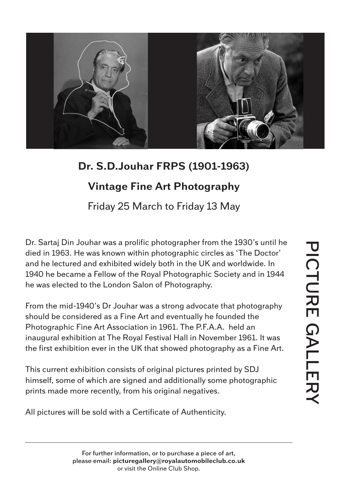

## **Dr. S.D.Jouhar FRPS (1901-1963) Vintage Fine Art Photography**

Friday 25 March to Friday 13 May

Dr. Sartaj Din Jouhar was a prolific photographer from the 1930's until he died in 1963. He was known within photographic circles as 'The Doctor' and he lectured and exhibited widely both in the UK and worldwide. In 1940 he became a Fellow of the Royal Photographic Society and in 1944 he was elected to the London Salon of Photography.

From the mid-1940's Dr Jouhar was a strong advocate that photography should be considered as a Fine Art and eventually he founded the Photographic Fine Art Association in 1961. The P.F.A.A. held an inaugural exhibition at The Royal Festival Hall in November 1961. It was the first exhibition ever in the UK that showed photography as a Fine Art.

This current exhibition consists of original pictures printed by SDJ himself, some of which are signed and additionally some photographic prints made more recently, from his original negatives.

All pictures will be sold with a Certificate of Authenticity.

**For further information, or to purchase a piece of art, please email: picturegallery@royalautomobileclub.co.uk** or visit the Online Club Shop.